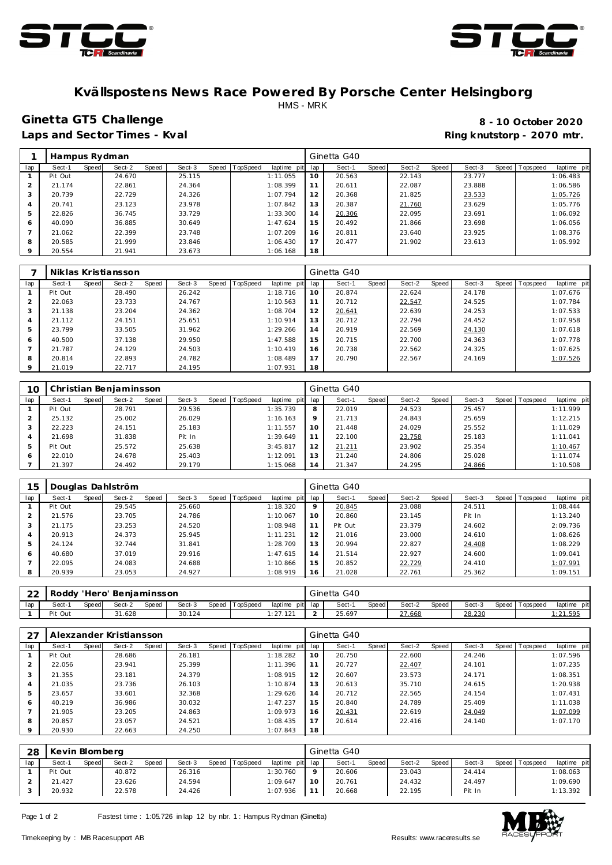



#### **Kvällspostens News Race Powered By Porsche Center Helsingborg** HMS - MRK

## **Ginetta GT5 Challenge 8 - 10 October 2020**

Laps and Sector Times - Kval **Ring and Sector Times - Kval Ring knutstorp - 2070 mtr.** 

|         | Hampus Rydman |       |        |       |        |       |          |             |     | Ginetta G40 |       |        |       |        |                |             |
|---------|---------------|-------|--------|-------|--------|-------|----------|-------------|-----|-------------|-------|--------|-------|--------|----------------|-------------|
| lap     | Sect-1        | Speed | Sect-2 | Speed | Sect-3 | Speed | TopSpeed | laptime pit | lap | Sect-1      | Speed | Sect-2 | Speed | Sect-3 | Speed Topspeed | laptime pit |
|         | Pit Out       |       | 24.670 |       | 25.115 |       |          | 1:11.055    | 10  | 20.563      |       | 22.143 |       | 23.777 |                | 1:06.483    |
|         | 21.174        |       | 22.861 |       | 24.364 |       |          | 1:08.399    | 11  | 20.611      |       | 22.087 |       | 23.888 |                | 1:06.586    |
| 3       | 20.739        |       | 22.729 |       | 24.326 |       |          | 1:07.794    | 12  | 20.368      |       | 21.825 |       | 23.533 |                | 1:05.726    |
| 4       | 20.741        |       | 23.123 |       | 23.978 |       |          | 1:07.842    | 13  | 20.387      |       | 21.760 |       | 23.629 |                | 1:05.776    |
| 5       | 22.826        |       | 36.745 |       | 33.729 |       |          | 1:33.300    | 14  | 20.306      |       | 22.095 |       | 23.691 |                | 1:06.092    |
| 6       | 40.090        |       | 36.885 |       | 30.649 |       |          | 1:47.624    | 15  | 20.492      |       | 21.866 |       | 23.698 |                | 1:06.056    |
|         | 21.062        |       | 22.399 |       | 23.748 |       |          | 1:07.209    | 16  | 20.811      |       | 23.640 |       | 23.925 |                | 1:08.376    |
| 8       | 20.585        |       | 21.999 |       | 23.846 |       |          | 1:06.430    | 17  | 20.477      |       | 21.902 |       | 23.613 |                | 1:05.992    |
| $\circ$ | 20.554        |       | 21.941 |       | 23.673 |       |          | 1:06.168    | 18  |             |       |        |       |        |                |             |

|         |         |       | Niklas Kristiansson |       |        |                |             |     | Ginetta G40 |       |        |       |        |                   |             |
|---------|---------|-------|---------------------|-------|--------|----------------|-------------|-----|-------------|-------|--------|-------|--------|-------------------|-------------|
| lap     | Sect-1  | Speed | Sect-2              | Speed | Sect-3 | Speed TopSpeed | laptime pit | lap | Sect-1      | Speed | Sect-2 | Speed | Sect-3 | Speed   Tops peed | laptime pit |
|         | Pit Out |       | 28.490              |       | 26.242 |                | 1:18.716    | 10  | 20.874      |       | 22.624 |       | 24.178 |                   | 1:07.676    |
| 2       | 22.063  |       | 23.733              |       | 24.767 |                | 1:10.563    | 11  | 20.712      |       | 22.547 |       | 24.525 |                   | 1:07.784    |
| 3       | 21.138  |       | 23.204              |       | 24.362 |                | 1:08.704    | 12  | 20.641      |       | 22.639 |       | 24.253 |                   | 1:07.533    |
| 4       | 21.112  |       | 24.151              |       | 25.651 |                | 1:10.914    | 13  | 20.712      |       | 22.794 |       | 24.452 |                   | 1:07.958    |
| 5       | 23.799  |       | 33.505              |       | 31.962 |                | 1:29.266    | 14  | 20.919      |       | 22.569 |       | 24.130 |                   | 1:07.618    |
| 6       | 40.500  |       | 37.138              |       | 29.950 |                | 1:47.588    | 15  | 20.715      |       | 22.700 |       | 24.363 |                   | 1:07.778    |
|         | 21.787  |       | 24.129              |       | 24.503 |                | 1:10.419    | 16  | 20.738      |       | 22.562 |       | 24.325 |                   | 1:07.625    |
| 8       | 20.814  |       | 22.893              |       | 24.782 |                | 1:08.489    | 17  | 20.790      |       | 22.567 |       | 24.169 |                   | 1:07.526    |
| $\circ$ | 21.019  |       | 22.717              |       | 24.195 |                | 1:07.931    | 18  |             |       |        |       |        |                   |             |

| 10             |         |       | Christian Benjaminsson |       |        |       |          |                |         | Ginetta G40 |              |        |       |        |                   |             |
|----------------|---------|-------|------------------------|-------|--------|-------|----------|----------------|---------|-------------|--------------|--------|-------|--------|-------------------|-------------|
| lap            | Sect-1  | Speed | Sect-2                 | Speed | Sect-3 | Speed | TopSpeed | laptime<br>pit | lap     | Sect-1      | <b>Speed</b> | Sect-2 | Speed | Sect-3 | Speed   Tops peed | laptime pit |
|                | Pit Out |       | 28.791                 |       | 29.536 |       |          | 1:35.739       | 8       | 22.019      |              | 24.523 |       | 25.457 |                   | 1:11.999    |
|                | 25.132  |       | 25.002                 |       | 26.029 |       |          | 1:16.163       | $\circ$ | 21.713      |              | 24.843 |       | 25.659 |                   | 1:12.215    |
| 3              | 22.223  |       | 24.151                 |       | 25.183 |       |          | 1:11.557       | 10      | 21.448      |              | 24.029 |       | 25.552 |                   | 1:11.029    |
| $\overline{4}$ | 21.698  |       | 31.838                 |       | Pit In |       |          | 1:39.649       |         | 22.100      |              | 23.758 |       | 25.183 |                   | 1:11.041    |
| 5              | Pit Out |       | 25.572                 |       | 25.638 |       |          | 3:45.817       | 12      | 21.211      |              | 23.902 |       | 25.354 |                   | 1:10.467    |
| 6              | 22.010  |       | 24.678                 |       | 25.403 |       |          | 1:12.091       | 13      | 21.240      |              | 24.806 |       | 25.028 |                   | 1:11.074    |
|                | 21.397  |       | 24.492                 |       | 29.179 |       |          | 1:15.068       | 14      | 21.347      |              | 24.295 |       | 24.866 |                   | 1:10.508    |

| 15  |         |       | Douglas Dahlström |       |        |              |          |                |     | Ginetta G40 |       |        |       |        |       |           |             |
|-----|---------|-------|-------------------|-------|--------|--------------|----------|----------------|-----|-------------|-------|--------|-------|--------|-------|-----------|-------------|
| lap | Sect-1  | Speed | Sect-2            | Speed | Sect-3 | <b>Speed</b> | TopSpeed | laptime<br>pit | lap | Sect-1      | Speed | Sect-2 | Speed | Sect-3 | Speed | Tops peed | laptime pit |
|     | Pit Out |       | 29.545            |       | 25.660 |              |          | 1:18.320       | 9   | 20.845      |       | 23.088 |       | 24.511 |       |           | 1:08.444    |
|     | 21.576  |       | 23.705            |       | 24.786 |              |          | 1:10.067       | 10  | 20.860      |       | 23.145 |       | Pit In |       |           | 1:13.240    |
| 3   | 21.175  |       | 23.253            |       | 24.520 |              |          | 1:08.948       | 11  | Pit Out     |       | 23.379 |       | 24.602 |       |           | 2:09.736    |
| 4   | 20.913  |       | 24.373            |       | 25.945 |              |          | 1:11.231       | 12  | 21.016      |       | 23.000 |       | 24.610 |       |           | 1:08.626    |
| 5   | 24.124  |       | 32.744            |       | 31.841 |              |          | 1:28.709       | 13  | 20.994      |       | 22.827 |       | 24.408 |       |           | 1:08.229    |
| 6   | 40.680  |       | 37.019            |       | 29.916 |              |          | 1:47.615       | 14  | 21.514      |       | 22.927 |       | 24.600 |       |           | 1:09.041    |
|     | 22.095  |       | 24.083            |       | 24.688 |              |          | 1:10.866       | 15  | 20.852      |       | 22.729 |       | 24.410 |       |           | 1:07.991    |
| 8   | 20.939  |       | 23.053            |       | 24.927 |              |          | 1:08.919       | 16  | 21.028      |       | 22.761 |       | 25.362 |       |           | 1:09.151    |

| $\cap$<br>∠∠ | Roddy   |        | ' 'Hero' Benjaminsson |       |        |       |          |         |         | Ginetta G40 |       |        |       |        |           |            |             |  |
|--------------|---------|--------|-----------------------|-------|--------|-------|----------|---------|---------|-------------|-------|--------|-------|--------|-----------|------------|-------------|--|
| lap          | Sect-1  | Speed. | Sect-2                | Speed | Sect-3 | Speed | TopSpeed | laptime | pit lap | Sect-       | Speed | Sect-2 | Speed | Sect-3 | Speed   T | Tops pee d | laptime pit |  |
|              | Pit Out |        | 1.628                 |       | 30.124 |       |          | . . 2   |         | 25.697      |       | 27.668 |       | 28.230 |           |            | $.21.59$ F  |  |

|     |         |       | Alexzander Kristiansson |       |        |       |          |             |     | Ginetta G40 |       |        |       |        |         |           |             |
|-----|---------|-------|-------------------------|-------|--------|-------|----------|-------------|-----|-------------|-------|--------|-------|--------|---------|-----------|-------------|
| lap | Sect-1  | Speed | Sect-2                  | Speed | Sect-3 | Speed | TopSpeed | laptime pit | lap | Sect-1      | Speed | Sect-2 | Speed | Sect-3 | Speed I | Tops peed | laptime pit |
|     | Pit Out |       | 28.686                  |       | 26.181 |       |          | 1:18.282    | 10  | 20.750      |       | 22.600 |       | 24.246 |         |           | 1:07.596    |
|     | 22.056  |       | 23.941                  |       | 25.399 |       |          | 1:11.396    | 11  | 20.727      |       | 22.407 |       | 24.101 |         |           | 1:07.235    |
|     | 21.355  |       | 23.181                  |       | 24.379 |       |          | 1:08.915    | 12  | 20.607      |       | 23.573 |       | 24.171 |         |           | 1:08.351    |
|     | 21.035  |       | 23.736                  |       | 26.103 |       |          | 1:10.874    | 13  | 20.613      |       | 35.710 |       | 24.615 |         |           | 1:20.938    |
| 5   | 23.657  |       | 33.601                  |       | 32.368 |       |          | 1:29.626    | 14  | 20.712      |       | 22.565 |       | 24.154 |         |           | 1:07.431    |
| 6   | 40.219  |       | 36.986                  |       | 30.032 |       |          | 1:47.237    | 15  | 20.840      |       | 24.789 |       | 25.409 |         |           | 1:11.038    |
|     | 21.905  |       | 23.205                  |       | 24.863 |       |          | 1:09.973    | 16  | 20.431      |       | 22.619 |       | 24.049 |         |           | 1:07.099    |
| 8   | 20.857  |       | 23.057                  |       | 24.521 |       |          | 1:08.435    | 17  | 20.614      |       | 22.416 |       | 24.140 |         |           | 1:07.170    |
|     | 20.930  |       | 22.663                  |       | 24.250 |       |          | 1:07.843    | 18  |             |       |        |       |        |         |           |             |

| 28  | Kevin Blomberg |       |        |       |        |       |          |                 |    | Ginetta G40 |       |        |       |        |         |            |             |
|-----|----------------|-------|--------|-------|--------|-------|----------|-----------------|----|-------------|-------|--------|-------|--------|---------|------------|-------------|
| lap | Sect-1         | Speed | Sect-2 | Speed | Sect-3 | Speed | TopSpeed | laptime pit lap |    | Sect-1      | Speed | Sect-2 | Speed | Sect-3 | Speed T | Tops pee d | laptime pit |
|     | Pit Out        |       | 40.872 |       | 26.316 |       |          | 1:30.760        |    | 20.606      |       | 23.043 |       | 24.414 |         |            | 1:08.063    |
|     | 21.427         |       | 23.626 |       | 24.594 |       |          | 1:09.647        | 10 | 20.761      |       | 24.432 |       | 24.497 |         |            | 1:09.690    |
|     | 20.932         |       | 22.578 |       | 24.426 |       |          | 1:07.936        |    | 20.668      |       | 22.195 |       | Pit In |         |            | 1:13.392    |